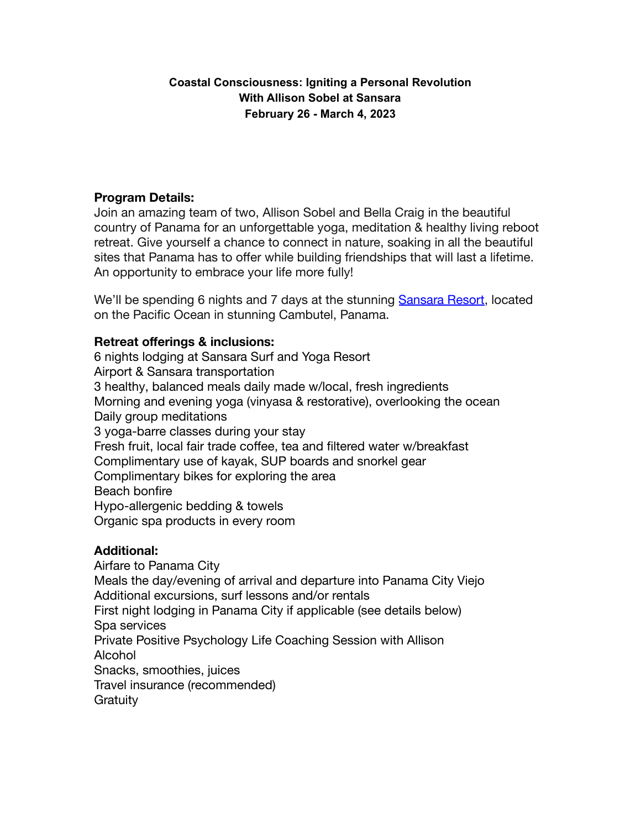# **Coastal Consciousness: Igniting a Personal Revolution With Allison Sobel at Sansara February 26 - March 4, 2023**

# **Program Details:**

Join an amazing team of two, Allison Sobel and Bella Craig in the beautiful country of Panama for an unforgettable yoga, meditation & healthy living reboot retreat. Give yourself a chance to connect in nature, soaking in all the beautiful sites that Panama has to offer while building friendships that will last a lifetime. An opportunity to embrace your life more fully!

We'll be spending 6 nights and 7 days at the stunning [Sansara Resort,](http://www.sansararesort.com) located on the Pacific Ocean in stunning Cambutel, Panama.

# **Retreat offerings & inclusions:**

6 nights lodging at Sansara Surf and Yoga Resort Airport & Sansara transportation 3 healthy, balanced meals daily made w/local, fresh ingredients Morning and evening yoga (vinyasa & restorative), overlooking the ocean Daily group meditations 3 yoga-barre classes during your stay Fresh fruit, local fair trade coffee, tea and filtered water w/breakfast Complimentary use of kayak, SUP boards and snorkel gear Complimentary bikes for exploring the area Beach bonfire Hypo-allergenic bedding & towels Organic spa products in every room

## **Additional:**

Airfare to Panama City Meals the day/evening of arrival and departure into Panama City Viejo Additional excursions, surf lessons and/or rentals First night lodging in Panama City if applicable (see details below) Spa services Private Positive Psychology Life Coaching Session with Allison Alcohol Snacks, smoothies, juices Travel insurance (recommended) **Gratuity**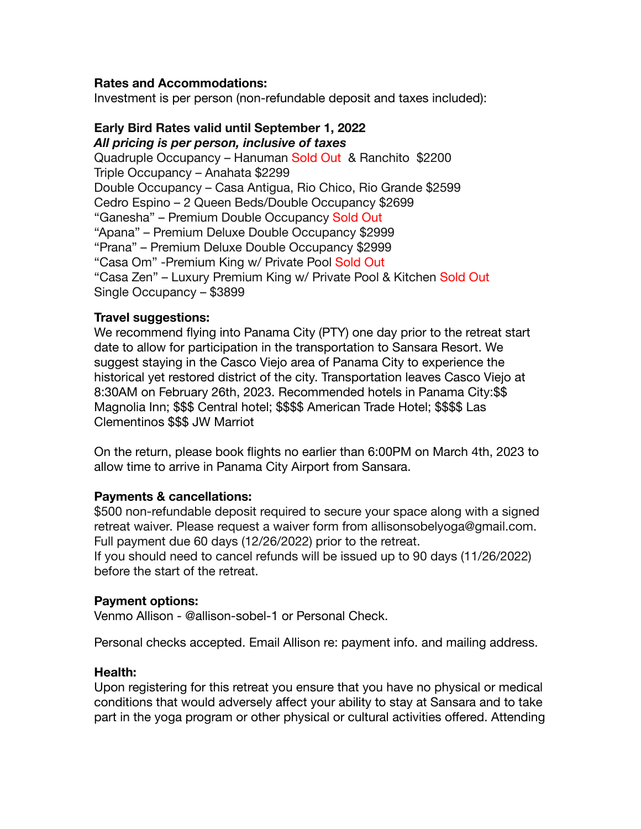## **Rates and Accommodations:**

Investment is per person (non-refundable deposit and taxes included):

### **Early Bird Rates valid until September 1, 2022** *All pricing is per person, inclusive of taxes*

Quadruple Occupancy – Hanuman Sold Out & Ranchito \$2200 Triple Occupancy – Anahata \$2299 Double Occupancy – Casa Antigua, Rio Chico, Rio Grande \$2599 Cedro Espino – 2 Queen Beds/Double Occupancy \$2699 "Ganesha" – Premium Double Occupancy Sold Out "Apana" – Premium Deluxe Double Occupancy \$2999 "Prana" – Premium Deluxe Double Occupancy \$2999 "Casa Om" -Premium King w/ Private Pool Sold Out "Casa Zen" – Luxury Premium King w/ Private Pool & Kitchen Sold Out Single Occupancy – \$3899

## **Travel suggestions:**

We recommend flying into Panama City (PTY) one day prior to the retreat start date to allow for participation in the transportation to Sansara Resort. We suggest staying in the Casco Viejo area of Panama City to experience the historical yet restored district of the city. Transportation leaves Casco Viejo at 8:30AM on February 26th, 2023. Recommended hotels in Panama City:\$\$ Magnolia Inn; \$\$\$ Central hotel; \$\$\$\$ American Trade Hotel; \$\$\$\$ Las Clementinos \$\$\$ JW Marriot

On the return, please book flights no earlier than 6:00PM on March 4th, 2023 to allow time to arrive in Panama City Airport from Sansara.

### **Payments & cancellations:**

\$500 non-refundable deposit required to secure your space along with a signed retreat waiver. Please request a waiver form from allisonsobelyoga@gmail.com. Full payment due 60 days (12/26/2022) prior to the retreat. If you should need to cancel refunds will be issued up to 90 days (11/26/2022) before the start of the retreat.

### **Payment options:**

Venmo Allison - @allison-sobel-1 or Personal Check.

Personal checks accepted. Email Allison re: payment info. and mailing address.

### **Health:**

Upon registering for this retreat you ensure that you have no physical or medical conditions that would adversely affect your ability to stay at Sansara and to take part in the yoga program or other physical or cultural activities offered. Attending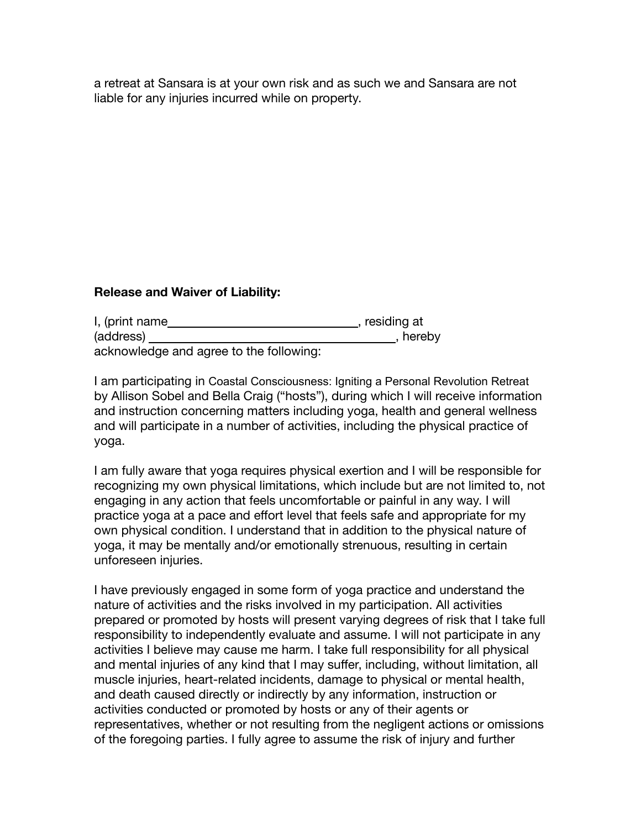a retreat at Sansara is at your own risk and as such we and Sansara are not liable for any injuries incurred while on property.

## **Release and Waiver of Liability:**

| I, (print name                          | , residing at |
|-----------------------------------------|---------------|
| (address)                               | , hereby      |
| acknowledge and agree to the following: |               |

I am participating in Coastal Consciousness: Igniting a Personal Revolution Retreat by Allison Sobel and Bella Craig ("hosts"), during which I will receive information and instruction concerning matters including yoga, health and general wellness and will participate in a number of activities, including the physical practice of yoga.

I am fully aware that yoga requires physical exertion and I will be responsible for recognizing my own physical limitations, which include but are not limited to, not engaging in any action that feels uncomfortable or painful in any way. I will practice yoga at a pace and effort level that feels safe and appropriate for my own physical condition. I understand that in addition to the physical nature of yoga, it may be mentally and/or emotionally strenuous, resulting in certain unforeseen injuries.

I have previously engaged in some form of yoga practice and understand the nature of activities and the risks involved in my participation. All activities prepared or promoted by hosts will present varying degrees of risk that I take full responsibility to independently evaluate and assume. I will not participate in any activities I believe may cause me harm. I take full responsibility for all physical and mental injuries of any kind that I may suffer, including, without limitation, all muscle injuries, heart-related incidents, damage to physical or mental health, and death caused directly or indirectly by any information, instruction or activities conducted or promoted by hosts or any of their agents or representatives, whether or not resulting from the negligent actions or omissions of the foregoing parties. I fully agree to assume the risk of injury and further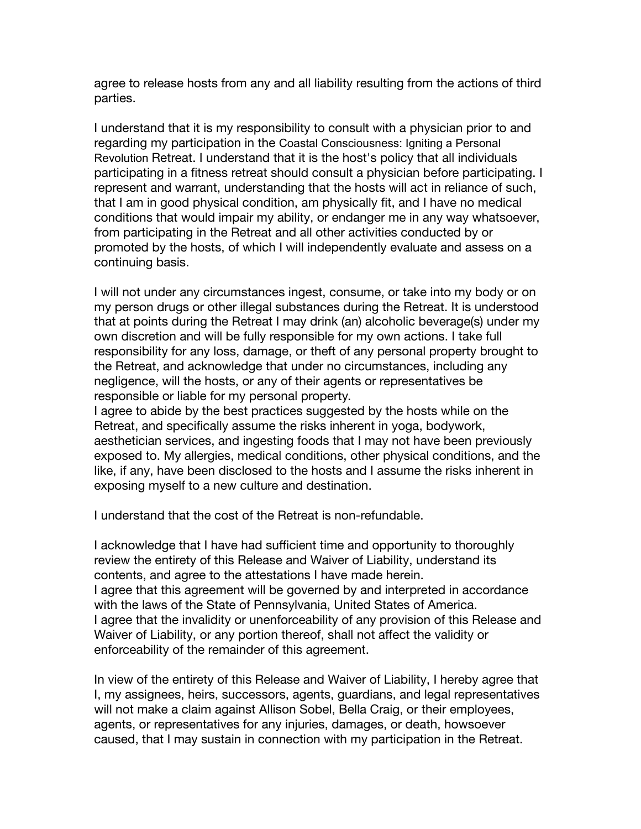agree to release hosts from any and all liability resulting from the actions of third parties.

I understand that it is my responsibility to consult with a physician prior to and regarding my participation in the Coastal Consciousness: Igniting a Personal Revolution Retreat. I understand that it is the host's policy that all individuals participating in a fitness retreat should consult a physician before participating. I represent and warrant, understanding that the hosts will act in reliance of such, that I am in good physical condition, am physically fit, and I have no medical conditions that would impair my ability, or endanger me in any way whatsoever, from participating in the Retreat and all other activities conducted by or promoted by the hosts, of which I will independently evaluate and assess on a continuing basis.

I will not under any circumstances ingest, consume, or take into my body or on my person drugs or other illegal substances during the Retreat. It is understood that at points during the Retreat I may drink (an) alcoholic beverage(s) under my own discretion and will be fully responsible for my own actions. I take full responsibility for any loss, damage, or theft of any personal property brought to the Retreat, and acknowledge that under no circumstances, including any negligence, will the hosts, or any of their agents or representatives be responsible or liable for my personal property.

I agree to abide by the best practices suggested by the hosts while on the Retreat, and specifically assume the risks inherent in yoga, bodywork, aesthetician services, and ingesting foods that I may not have been previously exposed to. My allergies, medical conditions, other physical conditions, and the like, if any, have been disclosed to the hosts and I assume the risks inherent in exposing myself to a new culture and destination.

I understand that the cost of the Retreat is non-refundable.

I acknowledge that I have had sufficient time and opportunity to thoroughly review the entirety of this Release and Waiver of Liability, understand its contents, and agree to the attestations I have made herein. I agree that this agreement will be governed by and interpreted in accordance with the laws of the State of Pennsylvania, United States of America. I agree that the invalidity or unenforceability of any provision of this Release and Waiver of Liability, or any portion thereof, shall not affect the validity or enforceability of the remainder of this agreement.

In view of the entirety of this Release and Waiver of Liability, I hereby agree that I, my assignees, heirs, successors, agents, guardians, and legal representatives will not make a claim against Allison Sobel, Bella Craig, or their employees, agents, or representatives for any injuries, damages, or death, howsoever caused, that I may sustain in connection with my participation in the Retreat.